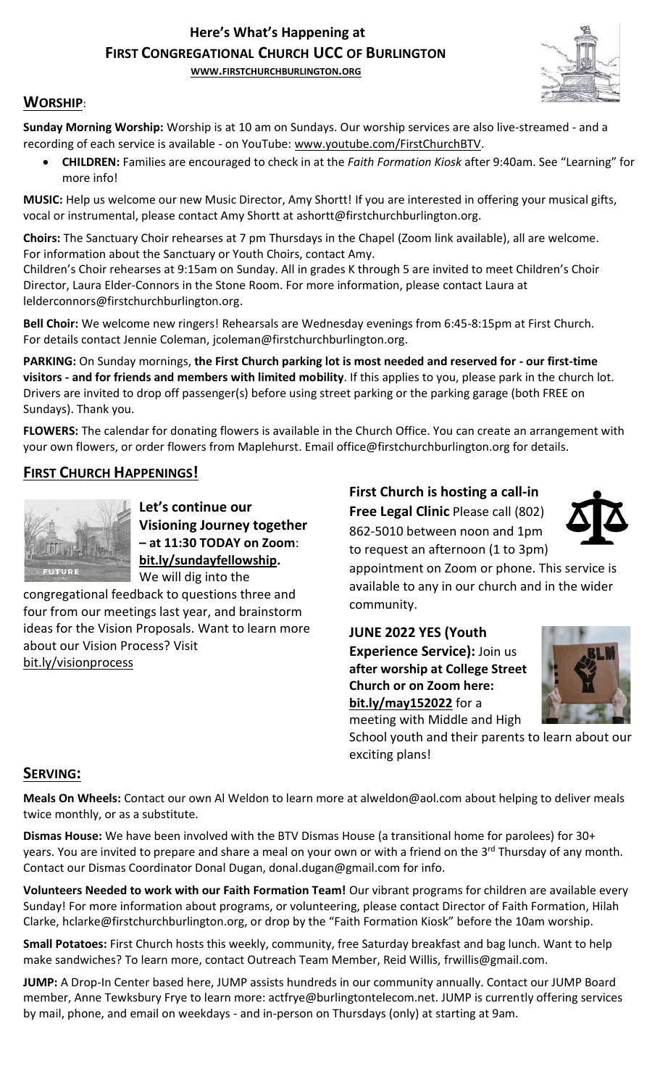# **Here's What's Happening at FIRST CONGREGATIONAL CHURCH UCC OF BURLINGTON**

**WWW.[FIRSTCHURCHBURLINGTON](http://www.firstchurchburlington.org/).ORG**



# **WORSHIP**:

**Sunday Morning Worship:** Worship is at 10 am on Sundays. Our worship services are also live-streamed - and a recording of each service is available - on YouTube: [www.youtube.com/FirstChurchBTV.](http://www.youtube.com/FirstChurchBTV)

• **CHILDREN:** Families are encouraged to check in at the *Faith Formation Kiosk* after 9:40am. See "Learning" for more info!

**MUSIC:** Help us welcome our new Music Director, Amy Shortt! If you are interested in offering your musical gifts, vocal or instrumental, please contact Amy Shortt at ashortt@firstchurchburlington.org.

**Choirs:** The Sanctuary Choir rehearses at 7 pm Thursdays in the Chapel (Zoom link available), all are welcome. For information about the Sanctuary or Youth Choirs, contact Amy.

Children's Choir rehearses at 9:15am on Sunday. All in grades K through 5 are invited to meet Children's Choir Director, Laura Elder-Connors in the Stone Room. For more information, please contact Laura at lelderconnors@firstchurchburlington.org.

**Bell Choir:** We welcome new ringers! Rehearsals are Wednesday evenings from 6:45-8:15pm at First Church. For details contact Jennie Coleman, [jcoleman@firstchurchburlington.org.](mailto:jcoleman@firstchurchburlington.org)

**PARKING:** On Sunday mornings, **the First Church parking lot is most needed and reserved for - our first-time visitors - and for friends and members with limited mobility**. If this applies to you, please park in the church lot. Drivers are invited to drop off passenger(s) before using street parking or the parking garage (both FREE on Sundays). Thank you.

**FLOWERS:** The calendar for donating flowers is available in the Church Office. You can create an arrangement with your own flowers, or order flowers from Maplehurst. Email office@firstchurchburlington.org for details.

# **FIRST CHURCH HAPPENINGS!**



**Let's continue our Visioning Journey together – at 11:30 TODAY on Zoom**: **bit.ly/sundayfellowship.** We will dig into the

congregational feedback to questions three and four from our meetings last year, and brainstorm ideas for the Vision Proposals. Want to learn more about our Vision Process? Visit bit.ly/visionprocess

**First Church is hosting a call-in Free Legal Clinic** Please call (802) 862-5010 between noon and 1pm

to request an afternoon (1 to 3pm)



appointment on Zoom or phone. This service is available to any in our church and in the wider community.

**JUNE 2022 YES (Youth** 

**Experience Service):** Join us **after worship at College Street Church or on Zoom here: bit.ly/may152022** for a



meeting with Middle and High School youth and their parents to learn about our exciting plans!

# **SERVING:**

**Meals On Wheels:** Contact our own Al Weldon to learn more at alweldon@aol.com about helping to deliver meals twice monthly, or as a substitute.

**Dismas House:** We have been involved with the BTV Dismas House (a transitional home for parolees) for 30+ years. You are invited to prepare and share a meal on your own or with a friend on the 3<sup>rd</sup> Thursday of any month. Contact our Dismas Coordinator Donal Dugan, [donal.dugan@gmail.com](mailto:donal.dugan@gmail.com) for info.

**Volunteers Needed to work with our Faith Formation Team!** Our vibrant programs for children are available every Sunday! For more information about programs, or volunteering, please contact Director of Faith Formation, Hilah Clarke, hclarke@firstchurchburlington.org, or drop by the "Faith Formation Kiosk" before the 10am worship.

**Small Potatoes:** First Church hosts this weekly, community, free Saturday breakfast and bag lunch. Want to help make sandwiches? To learn more, contact Outreach Team Member, Reid Willis, [frwillis@gmail.com.](mailto:frwillis@gmail.com)

**JUMP:** A Drop-In Center based here, JUMP assists hundreds in our community annually. Contact our JUMP Board member, Anne Tewksbury Frye to learn more: actfrye@burlingtontelecom.net. JUMP is currently offering services by mail, phone, and email on weekdays - and in-person on Thursdays (only) at starting at 9am.